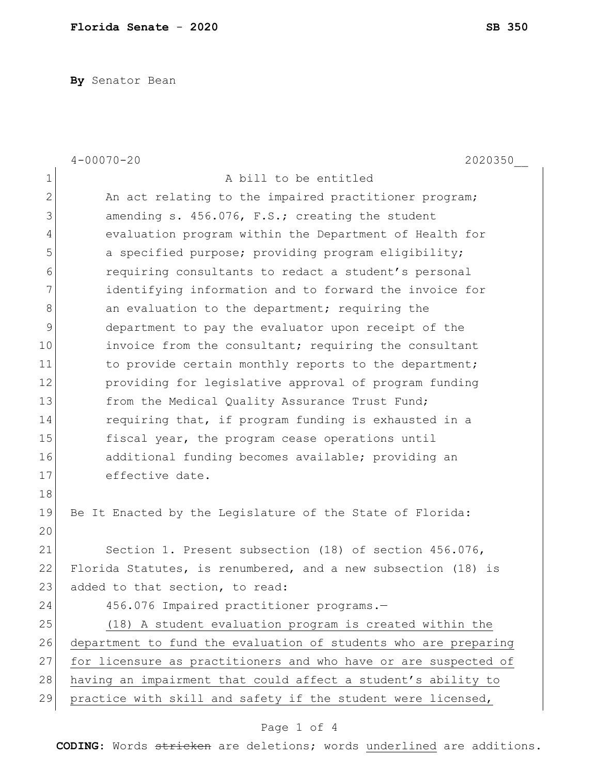**By** Senator Bean

|                | $4 - 00070 - 20$<br>2020350                                     |
|----------------|-----------------------------------------------------------------|
| 1              | A bill to be entitled                                           |
| $\mathbf{2}$   | An act relating to the impaired practitioner program;           |
| 3              | amending s. 456.076, F.S.; creating the student                 |
| $\overline{4}$ | evaluation program within the Department of Health for          |
| 5              | a specified purpose; providing program eligibility;             |
| $6\,$          | requiring consultants to redact a student's personal            |
| 7              | identifying information and to forward the invoice for          |
| $\,8\,$        | an evaluation to the department; requiring the                  |
| $\mathcal{G}$  | department to pay the evaluator upon receipt of the             |
| 10             | invoice from the consultant; requiring the consultant           |
| 11             | to provide certain monthly reports to the department;           |
| 12             | providing for legislative approval of program funding           |
| 13             | from the Medical Quality Assurance Trust Fund;                  |
| 14             | requiring that, if program funding is exhausted in a            |
| 15             | fiscal year, the program cease operations until                 |
| 16             | additional funding becomes available; providing an              |
| 17             | effective date.                                                 |
| 18             |                                                                 |
| 19             | Be It Enacted by the Legislature of the State of Florida:       |
| 20             |                                                                 |
| 21             | Section 1. Present subsection (18) of section 456.076,          |
| 22             | Florida Statutes, is renumbered, and a new subsection (18) is   |
| 23             | added to that section, to read:                                 |
| 24             | 456.076 Impaired practitioner programs.-                        |
| 25             | (18) A student evaluation program is created within the         |
| 26             | department to fund the evaluation of students who are preparing |
| 27             | for licensure as practitioners and who have or are suspected of |
| 28             | having an impairment that could affect a student's ability to   |
| 29             | practice with skill and safety if the student were licensed,    |

## Page 1 of 4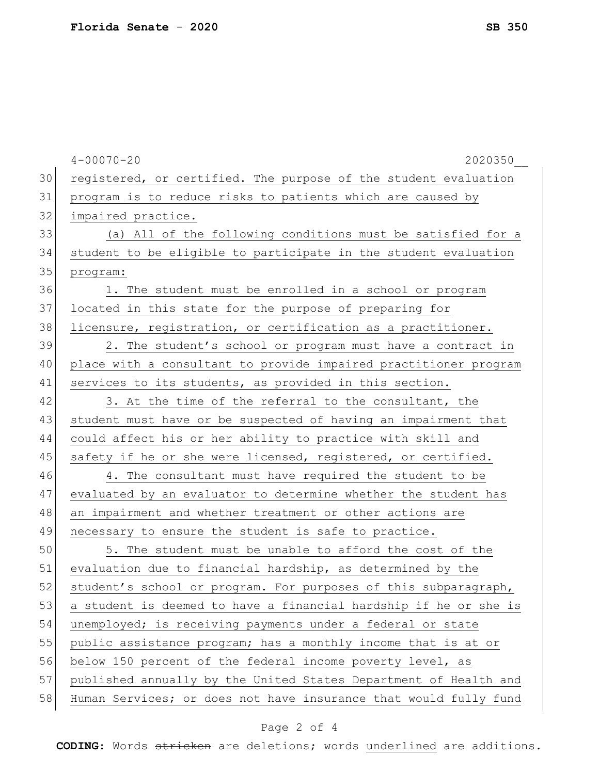| 30 |                                                                  |
|----|------------------------------------------------------------------|
|    | registered, or certified. The purpose of the student evaluation  |
| 31 | program is to reduce risks to patients which are caused by       |
| 32 | impaired practice.                                               |
| 33 | (a) All of the following conditions must be satisfied for a      |
| 34 | student to be eligible to participate in the student evaluation  |
| 35 | program:                                                         |
| 36 | 1. The student must be enrolled in a school or program           |
| 37 | located in this state for the purpose of preparing for           |
| 38 | licensure, registration, or certification as a practitioner.     |
| 39 | 2. The student's school or program must have a contract in       |
| 40 | place with a consultant to provide impaired practitioner program |
| 41 | services to its students, as provided in this section.           |
| 42 | 3. At the time of the referral to the consultant, the            |
| 43 | student must have or be suspected of having an impairment that   |
| 44 | could affect his or her ability to practice with skill and       |
| 45 | safety if he or she were licensed, registered, or certified.     |
| 46 | 4. The consultant must have required the student to be           |
| 47 | evaluated by an evaluator to determine whether the student has   |
| 48 | an impairment and whether treatment or other actions are         |
| 49 | necessary to ensure the student is safe to practice.             |
| 50 | 5. The student must be unable to afford the cost of the          |
| 51 | evaluation due to financial hardship, as determined by the       |
| 52 | student's school or program. For purposes of this subparagraph,  |
| 53 | a student is deemed to have a financial hardship if he or she is |
| 54 | unemployed; is receiving payments under a federal or state       |
| 55 | public assistance program; has a monthly income that is at or    |
| 56 | below 150 percent of the federal income poverty level, as        |
| 57 | published annually by the United States Department of Health and |
| 58 | Human Services; or does not have insurance that would fully fund |

## Page 2 of 4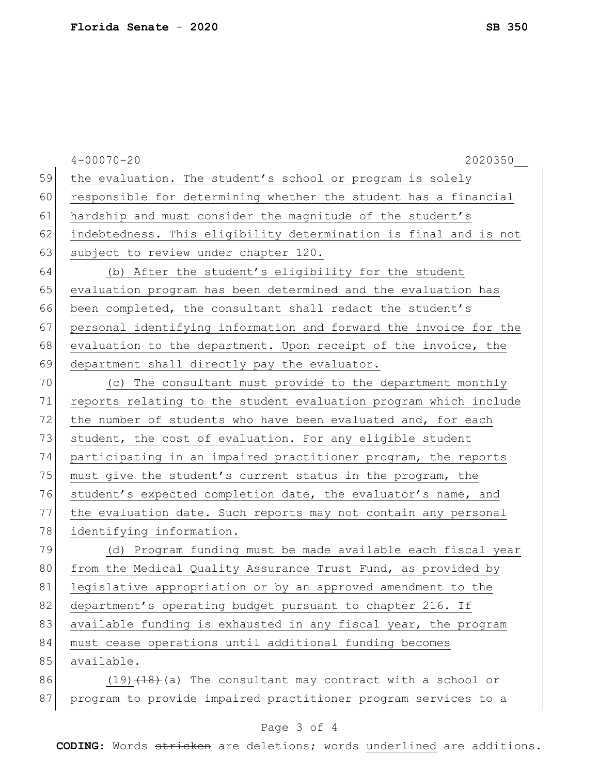|    | $4 - 00070 - 20$<br>2020350                                      |
|----|------------------------------------------------------------------|
| 59 | the evaluation. The student's school or program is solely        |
| 60 | responsible for determining whether the student has a financial  |
| 61 | hardship and must consider the magnitude of the student's        |
| 62 | indebtedness. This eligibility determination is final and is not |
| 63 | subject to review under chapter 120.                             |
| 64 | (b) After the student's eligibility for the student              |
| 65 | evaluation program has been determined and the evaluation has    |
| 66 | been completed, the consultant shall redact the student's        |
| 67 | personal identifying information and forward the invoice for the |
| 68 | evaluation to the department. Upon receipt of the invoice, the   |
| 69 | department shall directly pay the evaluator.                     |
| 70 | (c) The consultant must provide to the department monthly        |
| 71 | reports relating to the student evaluation program which include |
| 72 | the number of students who have been evaluated and, for each     |
| 73 | student, the cost of evaluation. For any eligible student        |
| 74 | participating in an impaired practitioner program, the reports   |
| 75 | must give the student's current status in the program, the       |
| 76 | student's expected completion date, the evaluator's name, and    |
| 77 | the evaluation date. Such reports may not contain any personal   |
| 78 | identifying information.                                         |
| 79 | (d) Program funding must be made available each fiscal year      |
| 80 | from the Medical Quality Assurance Trust Fund, as provided by    |
| 81 | legislative appropriation or by an approved amendment to the     |
| 82 | department's operating budget pursuant to chapter 216. If        |
| 83 | available funding is exhausted in any fiscal year, the program   |
| 84 | must cease operations until additional funding becomes           |
| 85 | available.                                                       |
| 86 | $(19)$ $(18)$ (a) The consultant may contract with a school or   |
| 87 | program to provide impaired practitioner program services to a   |

## Page 3 of 4